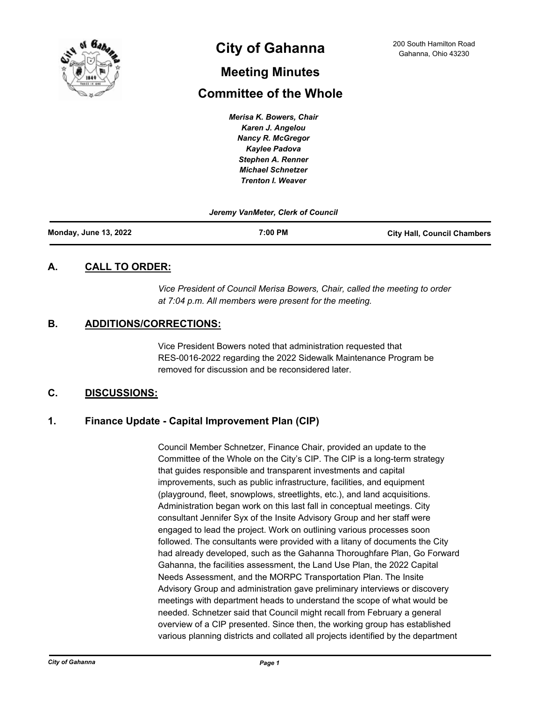

# **City of Gahanna** 200 South Hamilton Road Cahanna, Ohio 43230

# **Meeting Minutes**

# **Committee of the Whole**

*Merisa K. Bowers, Chair Karen J. Angelou Nancy R. McGregor Kaylee Padova Stephen A. Renner Michael Schnetzer Trenton I. Weaver*

#### *Jeremy VanMeter, Clerk of Council*

| <b>Monday, June 13, 2022</b> | 7:00 PM | <b>City Hall, Council Chambers</b> |
|------------------------------|---------|------------------------------------|
|                              |         |                                    |

# **A. CALL TO ORDER:**

*Vice President of Council Merisa Bowers, Chair, called the meeting to order at 7:04 p.m. All members were present for the meeting.*

# **B. ADDITIONS/CORRECTIONS:**

Vice President Bowers noted that administration requested that RES-0016-2022 regarding the 2022 Sidewalk Maintenance Program be removed for discussion and be reconsidered later.

# **C. DISCUSSIONS:**

# **1. Finance Update - Capital Improvement Plan (CIP)**

Council Member Schnetzer, Finance Chair, provided an update to the Committee of the Whole on the City's CIP. The CIP is a long-term strategy that guides responsible and transparent investments and capital improvements, such as public infrastructure, facilities, and equipment (playground, fleet, snowplows, streetlights, etc.), and land acquisitions. Administration began work on this last fall in conceptual meetings. City consultant Jennifer Syx of the Insite Advisory Group and her staff were engaged to lead the project. Work on outlining various processes soon followed. The consultants were provided with a litany of documents the City had already developed, such as the Gahanna Thoroughfare Plan, Go Forward Gahanna, the facilities assessment, the Land Use Plan, the 2022 Capital Needs Assessment, and the MORPC Transportation Plan. The Insite Advisory Group and administration gave preliminary interviews or discovery meetings with department heads to understand the scope of what would be needed. Schnetzer said that Council might recall from February a general overview of a CIP presented. Since then, the working group has established various planning districts and collated all projects identified by the department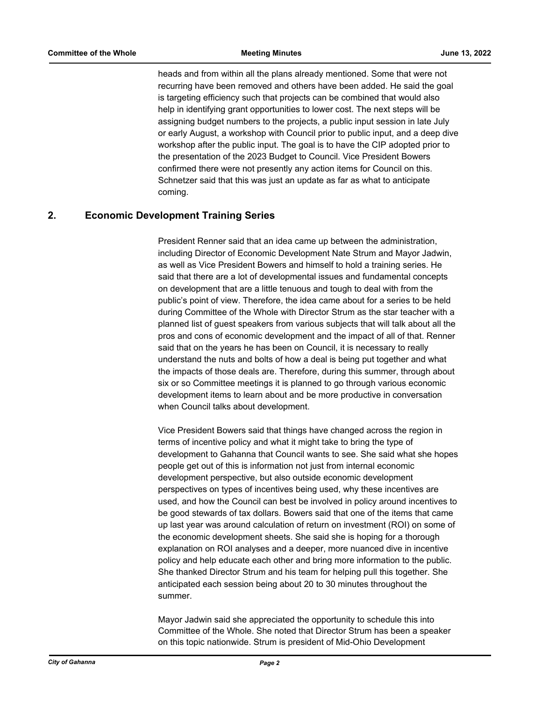heads and from within all the plans already mentioned. Some that were not recurring have been removed and others have been added. He said the goal is targeting efficiency such that projects can be combined that would also help in identifying grant opportunities to lower cost. The next steps will be assigning budget numbers to the projects, a public input session in late July or early August, a workshop with Council prior to public input, and a deep dive workshop after the public input. The goal is to have the CIP adopted prior to the presentation of the 2023 Budget to Council. Vice President Bowers confirmed there were not presently any action items for Council on this. Schnetzer said that this was just an update as far as what to anticipate coming.

# **2. Economic Development Training Series**

President Renner said that an idea came up between the administration, including Director of Economic Development Nate Strum and Mayor Jadwin, as well as Vice President Bowers and himself to hold a training series. He said that there are a lot of developmental issues and fundamental concepts on development that are a little tenuous and tough to deal with from the public's point of view. Therefore, the idea came about for a series to be held during Committee of the Whole with Director Strum as the star teacher with a planned list of guest speakers from various subjects that will talk about all the pros and cons of economic development and the impact of all of that. Renner said that on the years he has been on Council, it is necessary to really understand the nuts and bolts of how a deal is being put together and what the impacts of those deals are. Therefore, during this summer, through about six or so Committee meetings it is planned to go through various economic development items to learn about and be more productive in conversation when Council talks about development.

Vice President Bowers said that things have changed across the region in terms of incentive policy and what it might take to bring the type of development to Gahanna that Council wants to see. She said what she hopes people get out of this is information not just from internal economic development perspective, but also outside economic development perspectives on types of incentives being used, why these incentives are used, and how the Council can best be involved in policy around incentives to be good stewards of tax dollars. Bowers said that one of the items that came up last year was around calculation of return on investment (ROI) on some of the economic development sheets. She said she is hoping for a thorough explanation on ROI analyses and a deeper, more nuanced dive in incentive policy and help educate each other and bring more information to the public. She thanked Director Strum and his team for helping pull this together. She anticipated each session being about 20 to 30 minutes throughout the summer.

Mayor Jadwin said she appreciated the opportunity to schedule this into Committee of the Whole. She noted that Director Strum has been a speaker on this topic nationwide. Strum is president of Mid-Ohio Development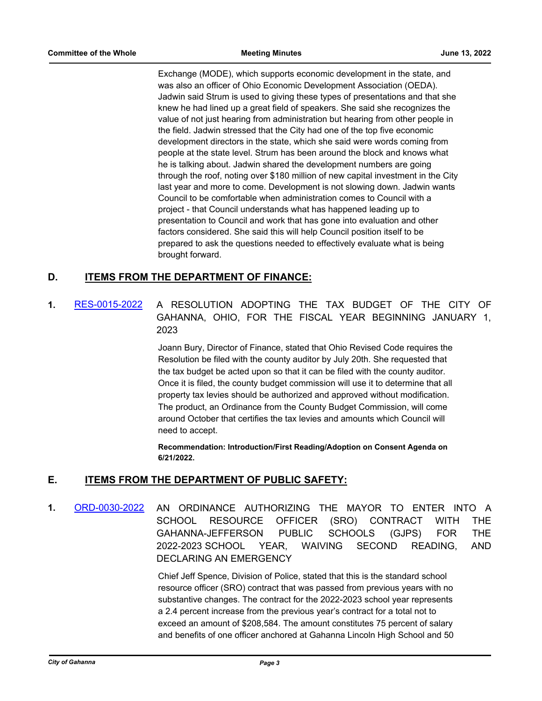Exchange (MODE), which supports economic development in the state, and was also an officer of Ohio Economic Development Association (OEDA). Jadwin said Strum is used to giving these types of presentations and that she knew he had lined up a great field of speakers. She said she recognizes the value of not just hearing from administration but hearing from other people in the field. Jadwin stressed that the City had one of the top five economic development directors in the state, which she said were words coming from people at the state level. Strum has been around the block and knows what he is talking about. Jadwin shared the development numbers are going through the roof, noting over \$180 million of new capital investment in the City last year and more to come. Development is not slowing down. Jadwin wants Council to be comfortable when administration comes to Council with a project - that Council understands what has happened leading up to presentation to Council and work that has gone into evaluation and other factors considered. She said this will help Council position itself to be prepared to ask the questions needed to effectively evaluate what is being brought forward.

# **D. ITEMS FROM THE DEPARTMENT OF FINANCE:**

# **1.** [RES-0015-2022](http://gahanna.legistar.com/gateway.aspx?m=l&id=/matter.aspx?key=17009) A RESOLUTION ADOPTING THE TAX BUDGET OF THE CITY OF GAHANNA, OHIO, FOR THE FISCAL YEAR BEGINNING JANUARY 1, 2023

Joann Bury, Director of Finance, stated that Ohio Revised Code requires the Resolution be filed with the county auditor by July 20th. She requested that the tax budget be acted upon so that it can be filed with the county auditor. Once it is filed, the county budget commission will use it to determine that all property tax levies should be authorized and approved without modification. The product, an Ordinance from the County Budget Commission, will come around October that certifies the tax levies and amounts which Council will need to accept.

**Recommendation: Introduction/First Reading/Adoption on Consent Agenda on 6/21/2022.**

### **E. ITEMS FROM THE DEPARTMENT OF PUBLIC SAFETY:**

**1.** [ORD-0030-2022](http://gahanna.legistar.com/gateway.aspx?m=l&id=/matter.aspx?key=17010) AN ORDINANCE AUTHORIZING THE MAYOR TO ENTER INTO A SCHOOL RESOURCE OFFICER (SRO) CONTRACT WITH THE GAHANNA-JEFFERSON PUBLIC SCHOOLS (GJPS) FOR THE 2022-2023 SCHOOL YEAR, WAIVING SECOND READING, AND DECLARING AN EMERGENCY

> Chief Jeff Spence, Division of Police, stated that this is the standard school resource officer (SRO) contract that was passed from previous years with no substantive changes. The contract for the 2022-2023 school year represents a 2.4 percent increase from the previous year's contract for a total not to exceed an amount of \$208,584. The amount constitutes 75 percent of salary and benefits of one officer anchored at Gahanna Lincoln High School and 50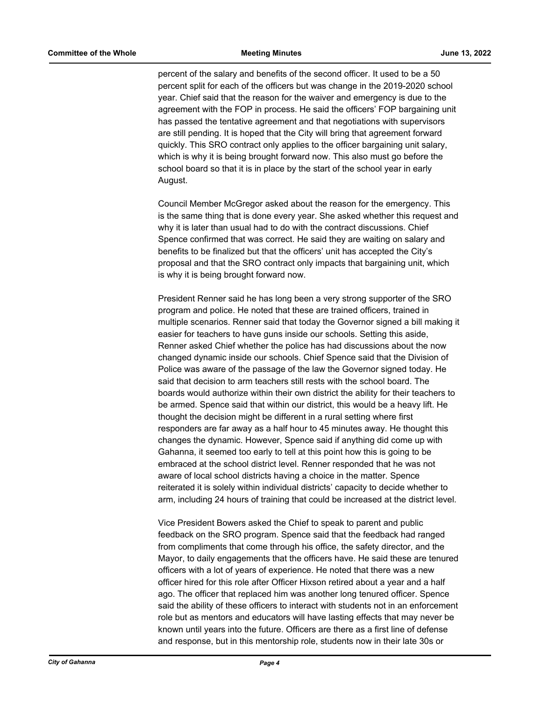percent of the salary and benefits of the second officer. It used to be a 50 percent split for each of the officers but was change in the 2019-2020 school year. Chief said that the reason for the waiver and emergency is due to the agreement with the FOP in process. He said the officers' FOP bargaining unit has passed the tentative agreement and that negotiations with supervisors are still pending. It is hoped that the City will bring that agreement forward quickly. This SRO contract only applies to the officer bargaining unit salary, which is why it is being brought forward now. This also must go before the school board so that it is in place by the start of the school year in early August.

Council Member McGregor asked about the reason for the emergency. This is the same thing that is done every year. She asked whether this request and why it is later than usual had to do with the contract discussions. Chief Spence confirmed that was correct. He said they are waiting on salary and benefits to be finalized but that the officers' unit has accepted the City's proposal and that the SRO contract only impacts that bargaining unit, which is why it is being brought forward now.

President Renner said he has long been a very strong supporter of the SRO program and police. He noted that these are trained officers, trained in multiple scenarios. Renner said that today the Governor signed a bill making it easier for teachers to have guns inside our schools. Setting this aside, Renner asked Chief whether the police has had discussions about the now changed dynamic inside our schools. Chief Spence said that the Division of Police was aware of the passage of the law the Governor signed today. He said that decision to arm teachers still rests with the school board. The boards would authorize within their own district the ability for their teachers to be armed. Spence said that within our district, this would be a heavy lift. He thought the decision might be different in a rural setting where first responders are far away as a half hour to 45 minutes away. He thought this changes the dynamic. However, Spence said if anything did come up with Gahanna, it seemed too early to tell at this point how this is going to be embraced at the school district level. Renner responded that he was not aware of local school districts having a choice in the matter. Spence reiterated it is solely within individual districts' capacity to decide whether to arm, including 24 hours of training that could be increased at the district level.

Vice President Bowers asked the Chief to speak to parent and public feedback on the SRO program. Spence said that the feedback had ranged from compliments that come through his office, the safety director, and the Mayor, to daily engagements that the officers have. He said these are tenured officers with a lot of years of experience. He noted that there was a new officer hired for this role after Officer Hixson retired about a year and a half ago. The officer that replaced him was another long tenured officer. Spence said the ability of these officers to interact with students not in an enforcement role but as mentors and educators will have lasting effects that may never be known until years into the future. Officers are there as a first line of defense and response, but in this mentorship role, students now in their late 30s or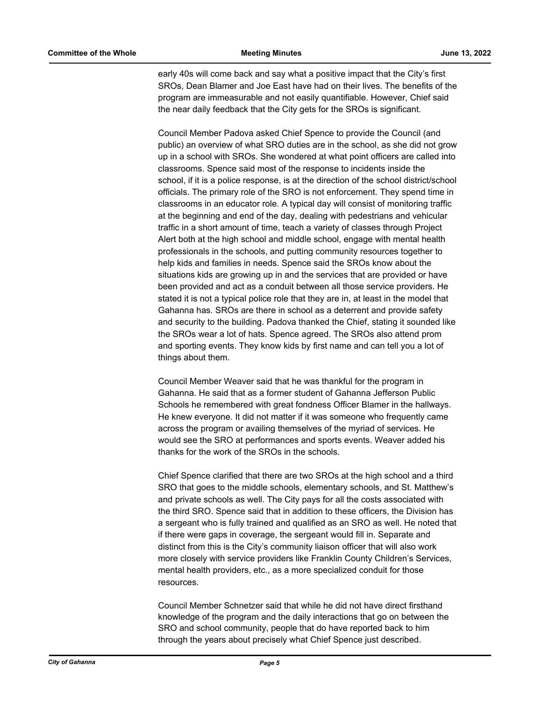early 40s will come back and say what a positive impact that the City's first SROs, Dean Blamer and Joe East have had on their lives. The benefits of the program are immeasurable and not easily quantifiable. However, Chief said the near daily feedback that the City gets for the SROs is significant.

Council Member Padova asked Chief Spence to provide the Council (and public) an overview of what SRO duties are in the school, as she did not grow up in a school with SROs. She wondered at what point officers are called into classrooms. Spence said most of the response to incidents inside the school, if it is a police response, is at the direction of the school district/school officials. The primary role of the SRO is not enforcement. They spend time in classrooms in an educator role. A typical day will consist of monitoring traffic at the beginning and end of the day, dealing with pedestrians and vehicular traffic in a short amount of time, teach a variety of classes through Project Alert both at the high school and middle school, engage with mental health professionals in the schools, and putting community resources together to help kids and families in needs. Spence said the SROs know about the situations kids are growing up in and the services that are provided or have been provided and act as a conduit between all those service providers. He stated it is not a typical police role that they are in, at least in the model that Gahanna has. SROs are there in school as a deterrent and provide safety and security to the building. Padova thanked the Chief, stating it sounded like the SROs wear a lot of hats. Spence agreed. The SROs also attend prom and sporting events. They know kids by first name and can tell you a lot of things about them.

Council Member Weaver said that he was thankful for the program in Gahanna. He said that as a former student of Gahanna Jefferson Public Schools he remembered with great fondness Officer Blamer in the hallways. He knew everyone. It did not matter if it was someone who frequently came across the program or availing themselves of the myriad of services. He would see the SRO at performances and sports events. Weaver added his thanks for the work of the SROs in the schools.

Chief Spence clarified that there are two SROs at the high school and a third SRO that goes to the middle schools, elementary schools, and St. Matthew's and private schools as well. The City pays for all the costs associated with the third SRO. Spence said that in addition to these officers, the Division has a sergeant who is fully trained and qualified as an SRO as well. He noted that if there were gaps in coverage, the sergeant would fill in. Separate and distinct from this is the City's community liaison officer that will also work more closely with service providers like Franklin County Children's Services, mental health providers, etc., as a more specialized conduit for those resources.

Council Member Schnetzer said that while he did not have direct firsthand knowledge of the program and the daily interactions that go on between the SRO and school community, people that do have reported back to him through the years about precisely what Chief Spence just described.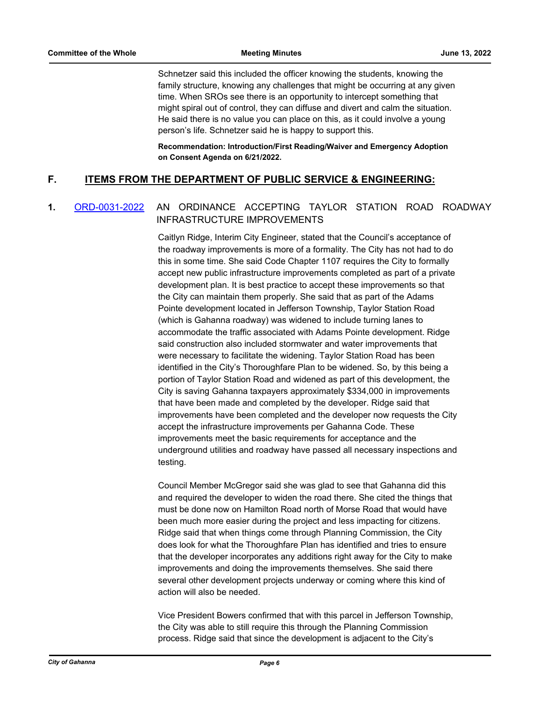Schnetzer said this included the officer knowing the students, knowing the family structure, knowing any challenges that might be occurring at any given time. When SROs see there is an opportunity to intercept something that might spiral out of control, they can diffuse and divert and calm the situation. He said there is no value you can place on this, as it could involve a young person's life. Schnetzer said he is happy to support this.

**Recommendation: Introduction/First Reading/Waiver and Emergency Adoption on Consent Agenda on 6/21/2022.**

# **F. ITEMS FROM THE DEPARTMENT OF PUBLIC SERVICE & ENGINEERING:**

# **1.** [ORD-0031-2022](http://gahanna.legistar.com/gateway.aspx?m=l&id=/matter.aspx?key=17011) AN ORDINANCE ACCEPTING TAYLOR STATION ROAD ROADWAY INFRASTRUCTURE IMPROVEMENTS

Caitlyn Ridge, Interim City Engineer, stated that the Council's acceptance of the roadway improvements is more of a formality. The City has not had to do this in some time. She said Code Chapter 1107 requires the City to formally accept new public infrastructure improvements completed as part of a private development plan. It is best practice to accept these improvements so that the City can maintain them properly. She said that as part of the Adams Pointe development located in Jefferson Township, Taylor Station Road (which is Gahanna roadway) was widened to include turning lanes to accommodate the traffic associated with Adams Pointe development. Ridge said construction also included stormwater and water improvements that were necessary to facilitate the widening. Taylor Station Road has been identified in the City's Thoroughfare Plan to be widened. So, by this being a portion of Taylor Station Road and widened as part of this development, the City is saving Gahanna taxpayers approximately \$334,000 in improvements that have been made and completed by the developer. Ridge said that improvements have been completed and the developer now requests the City accept the infrastructure improvements per Gahanna Code. These improvements meet the basic requirements for acceptance and the underground utilities and roadway have passed all necessary inspections and testing.

Council Member McGregor said she was glad to see that Gahanna did this and required the developer to widen the road there. She cited the things that must be done now on Hamilton Road north of Morse Road that would have been much more easier during the project and less impacting for citizens. Ridge said that when things come through Planning Commission, the City does look for what the Thoroughfare Plan has identified and tries to ensure that the developer incorporates any additions right away for the City to make improvements and doing the improvements themselves. She said there several other development projects underway or coming where this kind of action will also be needed.

Vice President Bowers confirmed that with this parcel in Jefferson Township, the City was able to still require this through the Planning Commission process. Ridge said that since the development is adjacent to the City's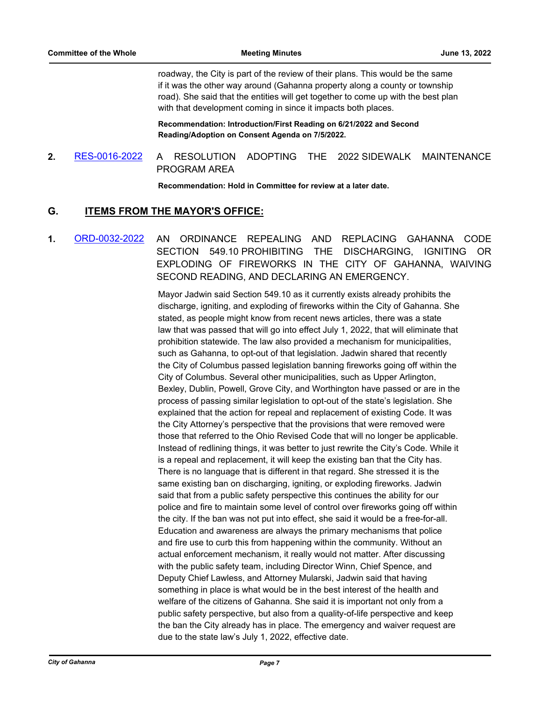roadway, the City is part of the review of their plans. This would be the same if it was the other way around (Gahanna property along a county or township road). She said that the entities will get together to come up with the best plan with that development coming in since it impacts both places.

**Recommendation: Introduction/First Reading on 6/21/2022 and Second Reading/Adoption on Consent Agenda on 7/5/2022.**

# **2.** [RES-0016-2022](http://gahanna.legistar.com/gateway.aspx?m=l&id=/matter.aspx?key=17012) A RESOLUTION ADOPTING THE 2022 SIDEWALK MAINTENANCE PROGRAM AREA

**Recommendation: Hold in Committee for review at a later date.**

# **G. ITEMS FROM THE MAYOR'S OFFICE:**

**1.** [ORD-0032-2022](http://gahanna.legistar.com/gateway.aspx?m=l&id=/matter.aspx?key=17013) AN ORDINANCE REPEALING AND REPLACING GAHANNA CODE SECTION 549.10 PROHIBITING THE DISCHARGING, IGNITING OR EXPLODING OF FIREWORKS IN THE CITY OF GAHANNA, WAIVING SECOND READING, AND DECLARING AN EMERGENCY.

> Mayor Jadwin said Section 549.10 as it currently exists already prohibits the discharge, igniting, and exploding of fireworks within the City of Gahanna. She stated, as people might know from recent news articles, there was a state law that was passed that will go into effect July 1, 2022, that will eliminate that prohibition statewide. The law also provided a mechanism for municipalities, such as Gahanna, to opt-out of that legislation. Jadwin shared that recently the City of Columbus passed legislation banning fireworks going off within the City of Columbus. Several other municipalities, such as Upper Arlington, Bexley, Dublin, Powell, Grove City, and Worthington have passed or are in the process of passing similar legislation to opt-out of the state's legislation. She explained that the action for repeal and replacement of existing Code. It was the City Attorney's perspective that the provisions that were removed were those that referred to the Ohio Revised Code that will no longer be applicable. Instead of redlining things, it was better to just rewrite the City's Code. While it is a repeal and replacement, it will keep the existing ban that the City has. There is no language that is different in that regard. She stressed it is the same existing ban on discharging, igniting, or exploding fireworks. Jadwin said that from a public safety perspective this continues the ability for our police and fire to maintain some level of control over fireworks going off within the city. If the ban was not put into effect, she said it would be a free-for-all. Education and awareness are always the primary mechanisms that police and fire use to curb this from happening within the community. Without an actual enforcement mechanism, it really would not matter. After discussing with the public safety team, including Director Winn, Chief Spence, and Deputy Chief Lawless, and Attorney Mularski, Jadwin said that having something in place is what would be in the best interest of the health and welfare of the citizens of Gahanna. She said it is important not only from a public safety perspective, but also from a quality-of-life perspective and keep the ban the City already has in place. The emergency and waiver request are due to the state law's July 1, 2022, effective date.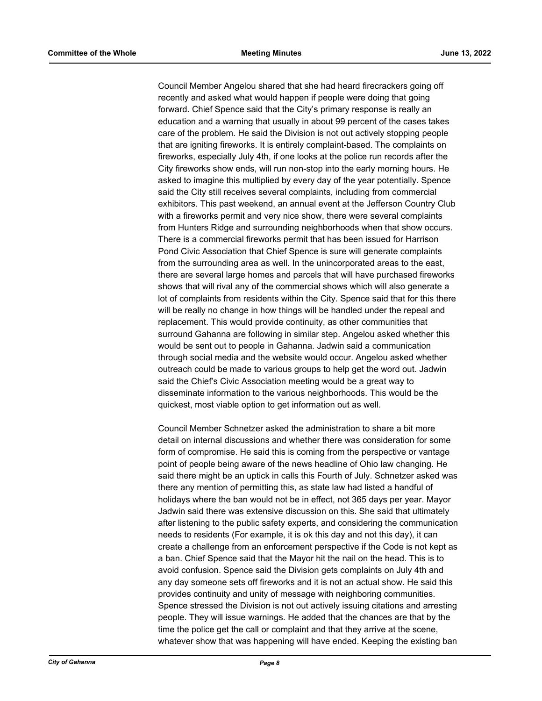Council Member Angelou shared that she had heard firecrackers going off recently and asked what would happen if people were doing that going forward. Chief Spence said that the City's primary response is really an education and a warning that usually in about 99 percent of the cases takes care of the problem. He said the Division is not out actively stopping people that are igniting fireworks. It is entirely complaint-based. The complaints on fireworks, especially July 4th, if one looks at the police run records after the City fireworks show ends, will run non-stop into the early morning hours. He asked to imagine this multiplied by every day of the year potentially. Spence said the City still receives several complaints, including from commercial exhibitors. This past weekend, an annual event at the Jefferson Country Club with a fireworks permit and very nice show, there were several complaints from Hunters Ridge and surrounding neighborhoods when that show occurs. There is a commercial fireworks permit that has been issued for Harrison Pond Civic Association that Chief Spence is sure will generate complaints from the surrounding area as well. In the unincorporated areas to the east, there are several large homes and parcels that will have purchased fireworks shows that will rival any of the commercial shows which will also generate a lot of complaints from residents within the City. Spence said that for this there will be really no change in how things will be handled under the repeal and replacement. This would provide continuity, as other communities that surround Gahanna are following in similar step. Angelou asked whether this would be sent out to people in Gahanna. Jadwin said a communication through social media and the website would occur. Angelou asked whether outreach could be made to various groups to help get the word out. Jadwin said the Chief's Civic Association meeting would be a great way to disseminate information to the various neighborhoods. This would be the quickest, most viable option to get information out as well.

Council Member Schnetzer asked the administration to share a bit more detail on internal discussions and whether there was consideration for some form of compromise. He said this is coming from the perspective or vantage point of people being aware of the news headline of Ohio law changing. He said there might be an uptick in calls this Fourth of July. Schnetzer asked was there any mention of permitting this, as state law had listed a handful of holidays where the ban would not be in effect, not 365 days per year. Mayor Jadwin said there was extensive discussion on this. She said that ultimately after listening to the public safety experts, and considering the communication needs to residents (For example, it is ok this day and not this day), it can create a challenge from an enforcement perspective if the Code is not kept as a ban. Chief Spence said that the Mayor hit the nail on the head. This is to avoid confusion. Spence said the Division gets complaints on July 4th and any day someone sets off fireworks and it is not an actual show. He said this provides continuity and unity of message with neighboring communities. Spence stressed the Division is not out actively issuing citations and arresting people. They will issue warnings. He added that the chances are that by the time the police get the call or complaint and that they arrive at the scene, whatever show that was happening will have ended. Keeping the existing ban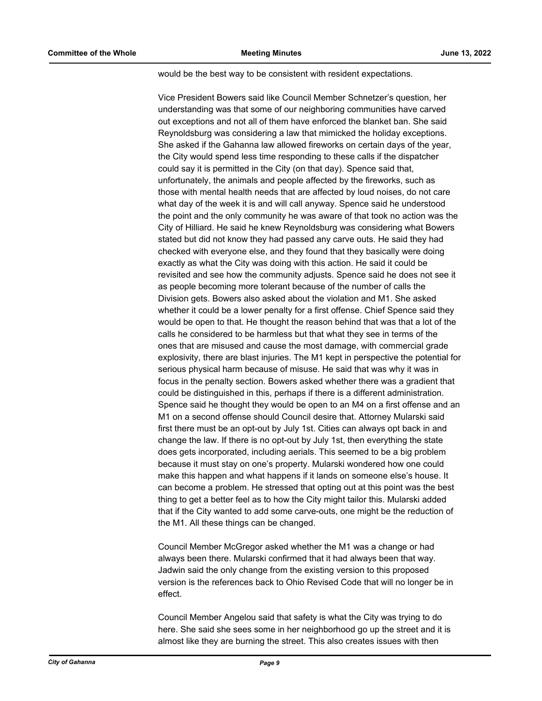would be the best way to be consistent with resident expectations.

Vice President Bowers said like Council Member Schnetzer's question, her understanding was that some of our neighboring communities have carved out exceptions and not all of them have enforced the blanket ban. She said Reynoldsburg was considering a law that mimicked the holiday exceptions. She asked if the Gahanna law allowed fireworks on certain days of the year, the City would spend less time responding to these calls if the dispatcher could say it is permitted in the City (on that day). Spence said that, unfortunately, the animals and people affected by the fireworks, such as those with mental health needs that are affected by loud noises, do not care what day of the week it is and will call anyway. Spence said he understood the point and the only community he was aware of that took no action was the City of Hilliard. He said he knew Reynoldsburg was considering what Bowers stated but did not know they had passed any carve outs. He said they had checked with everyone else, and they found that they basically were doing exactly as what the City was doing with this action. He said it could be revisited and see how the community adjusts. Spence said he does not see it as people becoming more tolerant because of the number of calls the Division gets. Bowers also asked about the violation and M1. She asked whether it could be a lower penalty for a first offense. Chief Spence said they would be open to that. He thought the reason behind that was that a lot of the calls he considered to be harmless but that what they see in terms of the ones that are misused and cause the most damage, with commercial grade explosivity, there are blast injuries. The M1 kept in perspective the potential for serious physical harm because of misuse. He said that was why it was in focus in the penalty section. Bowers asked whether there was a gradient that could be distinguished in this, perhaps if there is a different administration. Spence said he thought they would be open to an M4 on a first offense and an M1 on a second offense should Council desire that. Attorney Mularski said first there must be an opt-out by July 1st. Cities can always opt back in and change the law. If there is no opt-out by July 1st, then everything the state does gets incorporated, including aerials. This seemed to be a big problem because it must stay on one's property. Mularski wondered how one could make this happen and what happens if it lands on someone else's house. It can become a problem. He stressed that opting out at this point was the best thing to get a better feel as to how the City might tailor this. Mularski added that if the City wanted to add some carve-outs, one might be the reduction of the M1. All these things can be changed.

Council Member McGregor asked whether the M1 was a change or had always been there. Mularski confirmed that it had always been that way. Jadwin said the only change from the existing version to this proposed version is the references back to Ohio Revised Code that will no longer be in effect.

Council Member Angelou said that safety is what the City was trying to do here. She said she sees some in her neighborhood go up the street and it is almost like they are burning the street. This also creates issues with then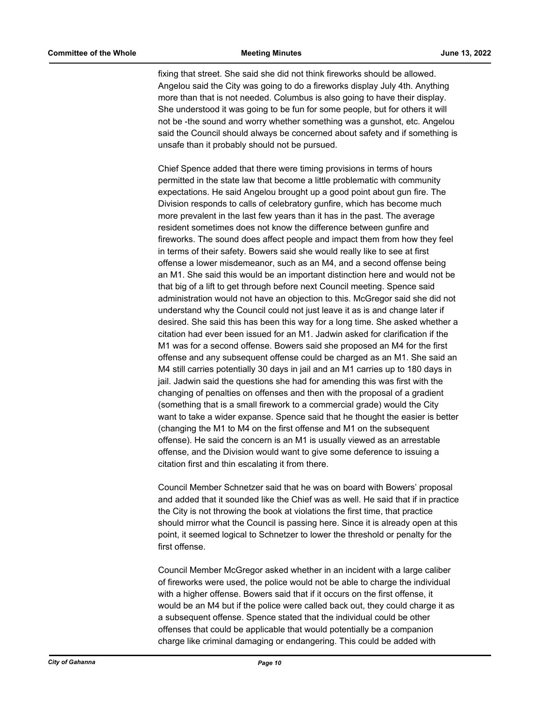fixing that street. She said she did not think fireworks should be allowed. Angelou said the City was going to do a fireworks display July 4th. Anything more than that is not needed. Columbus is also going to have their display. She understood it was going to be fun for some people, but for others it will not be -the sound and worry whether something was a gunshot, etc. Angelou said the Council should always be concerned about safety and if something is unsafe than it probably should not be pursued.

Chief Spence added that there were timing provisions in terms of hours permitted in the state law that become a little problematic with community expectations. He said Angelou brought up a good point about gun fire. The Division responds to calls of celebratory gunfire, which has become much more prevalent in the last few years than it has in the past. The average resident sometimes does not know the difference between gunfire and fireworks. The sound does affect people and impact them from how they feel in terms of their safety. Bowers said she would really like to see at first offense a lower misdemeanor, such as an M4, and a second offense being an M1. She said this would be an important distinction here and would not be that big of a lift to get through before next Council meeting. Spence said administration would not have an objection to this. McGregor said she did not understand why the Council could not just leave it as is and change later if desired. She said this has been this way for a long time. She asked whether a citation had ever been issued for an M1. Jadwin asked for clarification if the M1 was for a second offense. Bowers said she proposed an M4 for the first offense and any subsequent offense could be charged as an M1. She said an M4 still carries potentially 30 days in jail and an M1 carries up to 180 days in jail. Jadwin said the questions she had for amending this was first with the changing of penalties on offenses and then with the proposal of a gradient (something that is a small firework to a commercial grade) would the City want to take a wider expanse. Spence said that he thought the easier is better (changing the M1 to M4 on the first offense and M1 on the subsequent offense). He said the concern is an M1 is usually viewed as an arrestable offense, and the Division would want to give some deference to issuing a citation first and thin escalating it from there.

Council Member Schnetzer said that he was on board with Bowers' proposal and added that it sounded like the Chief was as well. He said that if in practice the City is not throwing the book at violations the first time, that practice should mirror what the Council is passing here. Since it is already open at this point, it seemed logical to Schnetzer to lower the threshold or penalty for the first offense.

Council Member McGregor asked whether in an incident with a large caliber of fireworks were used, the police would not be able to charge the individual with a higher offense. Bowers said that if it occurs on the first offense, it would be an M4 but if the police were called back out, they could charge it as a subsequent offense. Spence stated that the individual could be other offenses that could be applicable that would potentially be a companion charge like criminal damaging or endangering. This could be added with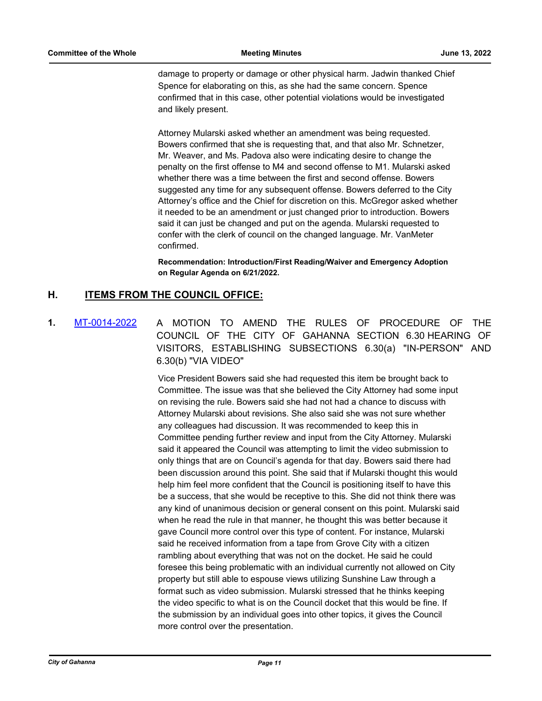damage to property or damage or other physical harm. Jadwin thanked Chief Spence for elaborating on this, as she had the same concern. Spence confirmed that in this case, other potential violations would be investigated and likely present.

Attorney Mularski asked whether an amendment was being requested. Bowers confirmed that she is requesting that, and that also Mr. Schnetzer, Mr. Weaver, and Ms. Padova also were indicating desire to change the penalty on the first offense to M4 and second offense to M1. Mularski asked whether there was a time between the first and second offense. Bowers suggested any time for any subsequent offense. Bowers deferred to the City Attorney's office and the Chief for discretion on this. McGregor asked whether it needed to be an amendment or just changed prior to introduction. Bowers said it can just be changed and put on the agenda. Mularski requested to confer with the clerk of council on the changed language. Mr. VanMeter confirmed.

**Recommendation: Introduction/First Reading/Waiver and Emergency Adoption on Regular Agenda on 6/21/2022.**

# **H. ITEMS FROM THE COUNCIL OFFICE:**

**1.** [MT-0014-2022](http://gahanna.legistar.com/gateway.aspx?m=l&id=/matter.aspx?key=16998) A MOTION TO AMEND THE RULES OF PROCEDURE OF THE COUNCIL OF THE CITY OF GAHANNA SECTION 6.30 HEARING OF VISITORS, ESTABLISHING SUBSECTIONS 6.30(a) "IN-PERSON" AND 6.30(b) "VIA VIDEO"

> Vice President Bowers said she had requested this item be brought back to Committee. The issue was that she believed the City Attorney had some input on revising the rule. Bowers said she had not had a chance to discuss with Attorney Mularski about revisions. She also said she was not sure whether any colleagues had discussion. It was recommended to keep this in Committee pending further review and input from the City Attorney. Mularski said it appeared the Council was attempting to limit the video submission to only things that are on Council's agenda for that day. Bowers said there had been discussion around this point. She said that if Mularski thought this would help him feel more confident that the Council is positioning itself to have this be a success, that she would be receptive to this. She did not think there was any kind of unanimous decision or general consent on this point. Mularski said when he read the rule in that manner, he thought this was better because it gave Council more control over this type of content. For instance, Mularski said he received information from a tape from Grove City with a citizen rambling about everything that was not on the docket. He said he could foresee this being problematic with an individual currently not allowed on City property but still able to espouse views utilizing Sunshine Law through a format such as video submission. Mularski stressed that he thinks keeping the video specific to what is on the Council docket that this would be fine. If the submission by an individual goes into other topics, it gives the Council more control over the presentation.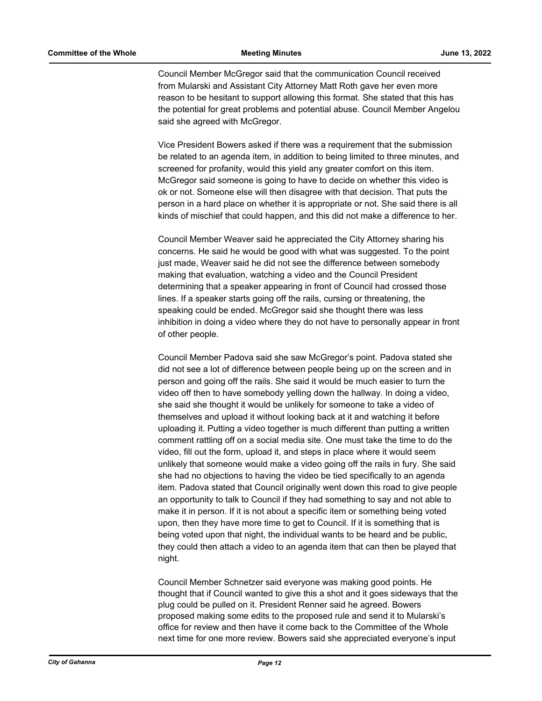Council Member McGregor said that the communication Council received from Mularski and Assistant City Attorney Matt Roth gave her even more reason to be hesitant to support allowing this format. She stated that this has the potential for great problems and potential abuse. Council Member Angelou said she agreed with McGregor.

Vice President Bowers asked if there was a requirement that the submission be related to an agenda item, in addition to being limited to three minutes, and screened for profanity, would this yield any greater comfort on this item. McGregor said someone is going to have to decide on whether this video is ok or not. Someone else will then disagree with that decision. That puts the person in a hard place on whether it is appropriate or not. She said there is all kinds of mischief that could happen, and this did not make a difference to her.

Council Member Weaver said he appreciated the City Attorney sharing his concerns. He said he would be good with what was suggested. To the point just made, Weaver said he did not see the difference between somebody making that evaluation, watching a video and the Council President determining that a speaker appearing in front of Council had crossed those lines. If a speaker starts going off the rails, cursing or threatening, the speaking could be ended. McGregor said she thought there was less inhibition in doing a video where they do not have to personally appear in front of other people.

Council Member Padova said she saw McGregor's point. Padova stated she did not see a lot of difference between people being up on the screen and in person and going off the rails. She said it would be much easier to turn the video off then to have somebody yelling down the hallway. In doing a video, she said she thought it would be unlikely for someone to take a video of themselves and upload it without looking back at it and watching it before uploading it. Putting a video together is much different than putting a written comment rattling off on a social media site. One must take the time to do the video, fill out the form, upload it, and steps in place where it would seem unlikely that someone would make a video going off the rails in fury. She said she had no objections to having the video be tied specifically to an agenda item. Padova stated that Council originally went down this road to give people an opportunity to talk to Council if they had something to say and not able to make it in person. If it is not about a specific item or something being voted upon, then they have more time to get to Council. If it is something that is being voted upon that night, the individual wants to be heard and be public, they could then attach a video to an agenda item that can then be played that night.

Council Member Schnetzer said everyone was making good points. He thought that if Council wanted to give this a shot and it goes sideways that the plug could be pulled on it. President Renner said he agreed. Bowers proposed making some edits to the proposed rule and send it to Mularski's office for review and then have it come back to the Committee of the Whole next time for one more review. Bowers said she appreciated everyone's input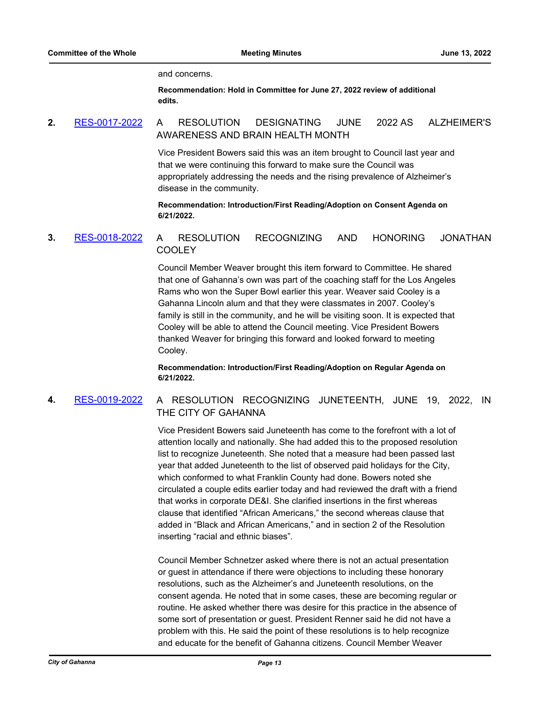and concerns.

**Recommendation: Hold in Committee for June 27, 2022 review of additional edits.**

# **2.** [RES-0017-2022](http://gahanna.legistar.com/gateway.aspx?m=l&id=/matter.aspx?key=17014) A RESOLUTION DESIGNATING JUNE 2022 AS ALZHEIMER'S AWARENESS AND BRAIN HEALTH MONTH

Vice President Bowers said this was an item brought to Council last year and that we were continuing this forward to make sure the Council was appropriately addressing the needs and the rising prevalence of Alzheimer's disease in the community.

**Recommendation: Introduction/First Reading/Adoption on Consent Agenda on 6/21/2022.**

# **3.** [RES-0018-2022](http://gahanna.legistar.com/gateway.aspx?m=l&id=/matter.aspx?key=17015) A RESOLUTION RECOGNIZING AND HONORING JONATHAN COOLEY

Council Member Weaver brought this item forward to Committee. He shared that one of Gahanna's own was part of the coaching staff for the Los Angeles Rams who won the Super Bowl earlier this year. Weaver said Cooley is a Gahanna Lincoln alum and that they were classmates in 2007. Cooley's family is still in the community, and he will be visiting soon. It is expected that Cooley will be able to attend the Council meeting. Vice President Bowers thanked Weaver for bringing this forward and looked forward to meeting Cooley.

**Recommendation: Introduction/First Reading/Adoption on Regular Agenda on 6/21/2022.**

# **4.** [RES-0019-2022](http://gahanna.legistar.com/gateway.aspx?m=l&id=/matter.aspx?key=17016) A RESOLUTION RECOGNIZING JUNETEENTH, JUNE 19, 2022, IN THE CITY OF GAHANNA

Vice President Bowers said Juneteenth has come to the forefront with a lot of attention locally and nationally. She had added this to the proposed resolution list to recognize Juneteenth. She noted that a measure had been passed last year that added Juneteenth to the list of observed paid holidays for the City, which conformed to what Franklin County had done. Bowers noted she circulated a couple edits earlier today and had reviewed the draft with a friend that works in corporate DE&I. She clarified insertions in the first whereas clause that identified "African Americans," the second whereas clause that added in "Black and African Americans," and in section 2 of the Resolution inserting "racial and ethnic biases".

Council Member Schnetzer asked where there is not an actual presentation or guest in attendance if there were objections to including these honorary resolutions, such as the Alzheimer's and Juneteenth resolutions, on the consent agenda. He noted that in some cases, these are becoming regular or routine. He asked whether there was desire for this practice in the absence of some sort of presentation or guest. President Renner said he did not have a problem with this. He said the point of these resolutions is to help recognize and educate for the benefit of Gahanna citizens. Council Member Weaver